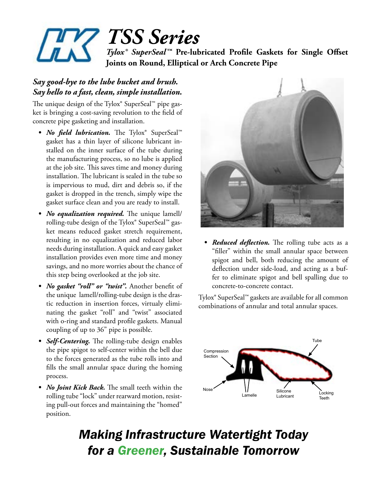

## *Say good-bye to the lube bucket and brush. Say hello to a fast, clean, simple installation.*

The unique design of the Tylox® SuperSeal™ pipe gasket is bringing a cost-saving revolution to the field of concrete pipe gasketing and installation.

- **•** *No field lubrication*. The Tylox® SuperSeal™ gasket has a thin layer of silicone lubricant installed on the inner surface of the tube during the manufacturing process, so no lube is applied at the job site. This saves time and money during installation. The lubricant is sealed in the tube so is impervious to mud, dirt and debris so, if the gasket is dropped in the trench, simply wipe the gasket surface clean and you are ready to install.
- *• No equalization required.* The unique lamell/ rolling-tube design of the Tylox® SuperSeal™ gasket means reduced gasket stretch requirement, resulting in no equalization and reduced labor needs during installation. A quick and easy gasket installation provides even more time and money savings, and no more worries about the chance of this step being overlooked at the job site.
- *• No gasket "roll" or "twist".* Another benefit of the unique lamell/rolling-tube design is the drastic reduction in insertion forces, virtualy eliminating the gasket "roll" and "twist" associated with o-ring and standard profile gaskets. Manual coupling of up to 36" pipe is possible.
- *• Self-Centering.* The rolling-tube design enables the pipe spigot to self-center within the bell due to the forces generated as the tube rolls into and fills the small annular space during the homing process.
- *• No Joint Kick Back.* The small teeth within the rolling tube "lock" under rearward motion, resisting pull-out forces and maintaining the "homed" position.



*• Reduced deflection.* The rolling tube acts as a "filler" within the small annular space between spigot and bell, both reducing the amount of deflection under side-load, and acting as a buffer to eliminate spigot and bell spalling due to concrete-to-concrete contact.

Tylox® SuperSeal™ gaskets are available for all common combinations of annular and total annular spaces.



# *Making Infrastructure Watertight Today for a Greener, Sustainable Tomorrow*